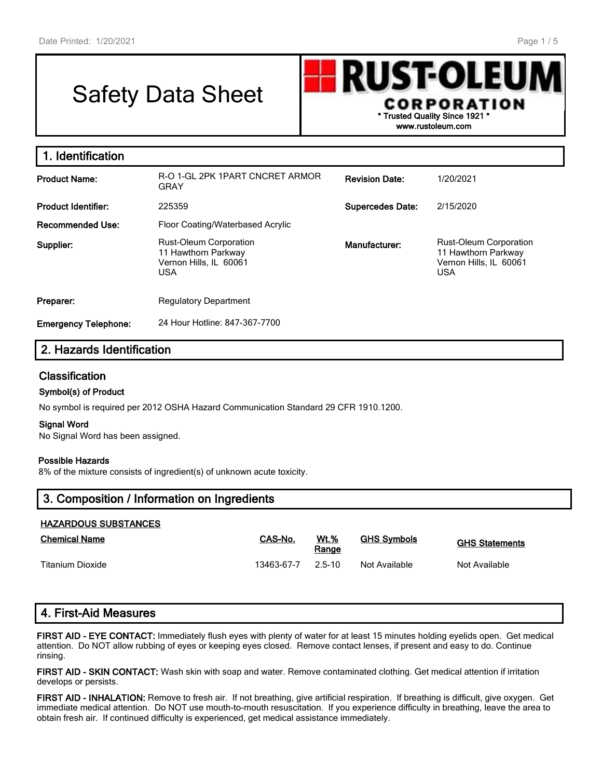г

# Safety Data Sheet



| 1. Identification           |                                                                                              |                         |                                                                                              |
|-----------------------------|----------------------------------------------------------------------------------------------|-------------------------|----------------------------------------------------------------------------------------------|
| <b>Product Name:</b>        | R-O 1-GL 2PK 1PART CNCRET ARMOR<br>GRAY                                                      | <b>Revision Date:</b>   | 1/20/2021                                                                                    |
| <b>Product Identifier:</b>  | 225359                                                                                       | <b>Supercedes Date:</b> | 2/15/2020                                                                                    |
| Recommended Use:            | Floor Coating/Waterbased Acrylic                                                             |                         |                                                                                              |
| Supplier:                   | <b>Rust-Oleum Corporation</b><br>11 Hawthorn Parkway<br>Vernon Hills, IL 60061<br><b>USA</b> | Manufacturer:           | <b>Rust-Oleum Corporation</b><br>11 Hawthorn Parkway<br>Vernon Hills, IL 60061<br><b>USA</b> |
| Preparer:                   | <b>Regulatory Department</b>                                                                 |                         |                                                                                              |
| <b>Emergency Telephone:</b> | 24 Hour Hotline: 847-367-7700                                                                |                         |                                                                                              |

## **2. Hazards Identification**

#### **Classification**

#### **Symbol(s) of Product**

No symbol is required per 2012 OSHA Hazard Communication Standard 29 CFR 1910.1200.

#### **Signal Word**

No Signal Word has been assigned.

#### **Possible Hazards**

8% of the mixture consists of ingredient(s) of unknown acute toxicity.

| 3. Composition / Information on Ingredients |  |  |  |
|---------------------------------------------|--|--|--|
| <b>HAZARDOUS SUBSTANCES</b>                 |  |  |  |

| <b>Chemical Name</b> | CAS-No.    | <b>Wt.%</b><br>Range | <b>GHS Symbols</b> | <b>GHS Statements</b> |
|----------------------|------------|----------------------|--------------------|-----------------------|
| Titanium Dioxide     | 13463-67-7 | $25-10$              | Not Available      | Not Available         |

# **4. First-Aid Measures**

**FIRST AID - EYE CONTACT:** Immediately flush eyes with plenty of water for at least 15 minutes holding eyelids open. Get medical attention. Do NOT allow rubbing of eyes or keeping eyes closed. Remove contact lenses, if present and easy to do. Continue rinsing.

**FIRST AID - SKIN CONTACT:** Wash skin with soap and water. Remove contaminated clothing. Get medical attention if irritation develops or persists.

**FIRST AID - INHALATION:** Remove to fresh air. If not breathing, give artificial respiration. If breathing is difficult, give oxygen. Get immediate medical attention. Do NOT use mouth-to-mouth resuscitation. If you experience difficulty in breathing, leave the area to obtain fresh air. If continued difficulty is experienced, get medical assistance immediately.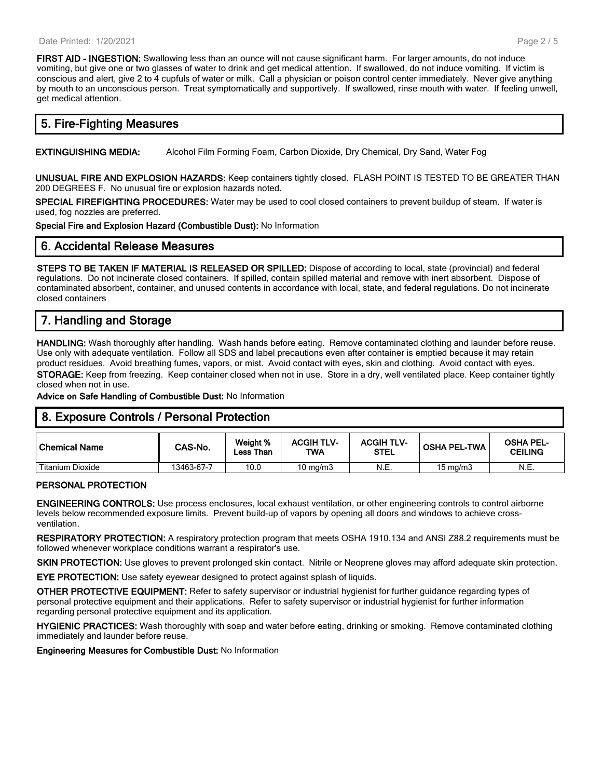**FIRST AID - INGESTION:** Swallowing less than an ounce will not cause significant harm. For larger amounts, do not induce vomiting, but give one or two glasses of water to drink and get medical attention. If swallowed, do not induce vomiting. If victim is conscious and alert, give 2 to 4 cupfuls of water or milk. Call a physician or poison control center immediately. Never give anything by mouth to an unconscious person. Treat symptomatically and supportively. If swallowed, rinse mouth with water. If feeling unwell, get medical attention.

## **5. Fire-Fighting Measures**

**EXTINGUISHING MEDIA:** Alcohol Film Forming Foam, Carbon Dioxide, Dry Chemical, Dry Sand, Water Fog

**UNUSUAL FIRE AND EXPLOSION HAZARDS:** Keep containers tightly closed. FLASH POINT IS TESTED TO BE GREATER THAN 200 DEGREES F. No unusual fire or explosion hazards noted.

**SPECIAL FIREFIGHTING PROCEDURES:** Water may be used to cool closed containers to prevent buildup of steam. If water is used, fog nozzles are preferred.

**Special Fire and Explosion Hazard (Combustible Dust):** No Information

## **6. Accidental Release Measures**

**STEPS TO BE TAKEN IF MATERIAL IS RELEASED OR SPILLED:** Dispose of according to local, state (provincial) and federal regulations. Do not incinerate closed containers. If spilled, contain spilled material and remove with inert absorbent. Dispose of contaminated absorbent, container, and unused contents in accordance with local, state, and federal regulations. Do not incinerate closed containers

# **7. Handling and Storage**

**HANDLING:** Wash thoroughly after handling. Wash hands before eating. Remove contaminated clothing and launder before reuse. Use only with adequate ventilation. Follow all SDS and label precautions even after container is emptied because it may retain product residues. Avoid breathing fumes, vapors, or mist. Avoid contact with eyes, skin and clothing. Avoid contact with eyes. **STORAGE:** Keep from freezing. Keep container closed when not in use. Store in a dry, well ventilated place. Keep container tightly closed when not in use.

**Advice on Safe Handling of Combustible Dust:** No Information

## **8. Exposure Controls / Personal Protection**

| Chemical Name           | CAS-No.    | Weight %<br>Less Than | <b>ACGIH TLV-</b><br>TWA | <b>ACGIH TLV-</b><br><b>STEL</b> | <b>OSHA PEL-TWA</b> | <b>OSHA PEL-</b><br><b>CEILING</b> |
|-------------------------|------------|-----------------------|--------------------------|----------------------------------|---------------------|------------------------------------|
| <b>Titanium Dioxide</b> | 13463-67-7 | 10.0                  | $10 \text{ mg/m}$        | N.E.                             | $15 \text{ mg/m}$   | N.E.                               |

#### **PERSONAL PROTECTION**

**ENGINEERING CONTROLS:** Use process enclosures, local exhaust ventilation, or other engineering controls to control airborne levels below recommended exposure limits. Prevent build-up of vapors by opening all doors and windows to achieve crossventilation.

**RESPIRATORY PROTECTION:** A respiratory protection program that meets OSHA 1910.134 and ANSI Z88.2 requirements must be followed whenever workplace conditions warrant a respirator's use.

**SKIN PROTECTION:** Use gloves to prevent prolonged skin contact. Nitrile or Neoprene gloves may afford adequate skin protection.

**EYE PROTECTION:** Use safety eyewear designed to protect against splash of liquids.

**OTHER PROTECTIVE EQUIPMENT:** Refer to safety supervisor or industrial hygienist for further guidance regarding types of personal protective equipment and their applications. Refer to safety supervisor or industrial hygienist for further information regarding personal protective equipment and its application.

**HYGIENIC PRACTICES:** Wash thoroughly with soap and water before eating, drinking or smoking. Remove contaminated clothing immediately and launder before reuse.

**Engineering Measures for Combustible Dust:** No Information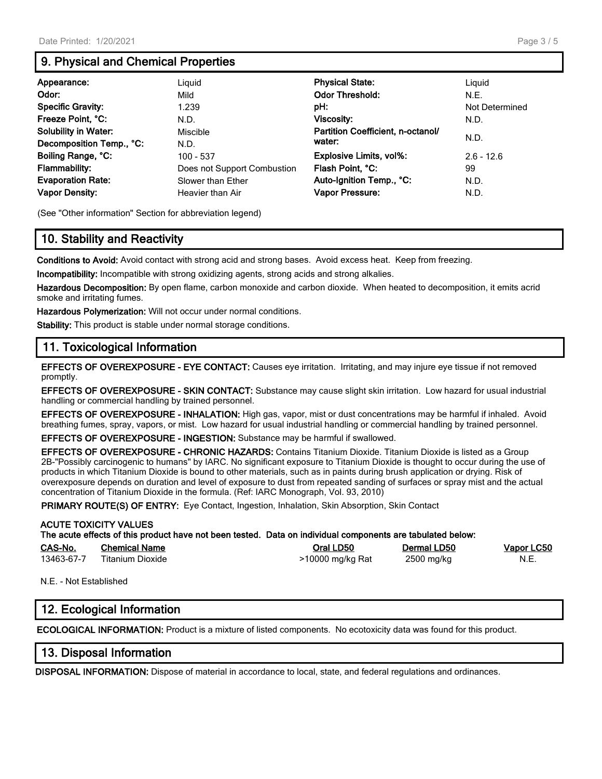# **9. Physical and Chemical Properties**

| Appearance:                                                                                                                 | Liguid                                                                                      | <b>Physical State:</b>                                                                               | Liguid                             |
|-----------------------------------------------------------------------------------------------------------------------------|---------------------------------------------------------------------------------------------|------------------------------------------------------------------------------------------------------|------------------------------------|
| Odor:                                                                                                                       | Mild                                                                                        | <b>Odor Threshold:</b>                                                                               | N.E.                               |
| <b>Specific Gravity:</b>                                                                                                    | 1.239                                                                                       | pH:                                                                                                  | Not Determined                     |
| Freeze Point, °C:                                                                                                           | N.D.                                                                                        | Viscosity:                                                                                           | N.D.                               |
| <b>Solubility in Water:</b>                                                                                                 | Miscible                                                                                    | Partition Coefficient, n-octanol/                                                                    | N.D.                               |
| Decomposition Temp., °C:<br>Boiling Range, °C:<br><b>Flammability:</b><br><b>Evaporation Rate:</b><br><b>Vapor Density:</b> | N.D.<br>$100 - 537$<br>Does not Support Combustion<br>Slower than Ether<br>Heavier than Air | water:<br>Explosive Limits, vol%:<br>Flash Point. °C:<br>Auto-Ignition Temp., °C:<br>Vapor Pressure: | $2.6 - 12.6$<br>99<br>N.D.<br>N.D. |

(See "Other information" Section for abbreviation legend)

# **10. Stability and Reactivity**

**Conditions to Avoid:** Avoid contact with strong acid and strong bases. Avoid excess heat. Keep from freezing.

**Incompatibility:** Incompatible with strong oxidizing agents, strong acids and strong alkalies.

**Hazardous Decomposition:** By open flame, carbon monoxide and carbon dioxide. When heated to decomposition, it emits acrid smoke and irritating fumes.

**Hazardous Polymerization:** Will not occur under normal conditions.

**Stability:** This product is stable under normal storage conditions.

## **11. Toxicological Information**

**EFFECTS OF OVEREXPOSURE - EYE CONTACT:** Causes eye irritation. Irritating, and may injure eye tissue if not removed promptly.

**EFFECTS OF OVEREXPOSURE - SKIN CONTACT:** Substance may cause slight skin irritation. Low hazard for usual industrial handling or commercial handling by trained personnel.

**EFFECTS OF OVEREXPOSURE - INHALATION:** High gas, vapor, mist or dust concentrations may be harmful if inhaled. Avoid breathing fumes, spray, vapors, or mist. Low hazard for usual industrial handling or commercial handling by trained personnel.

**EFFECTS OF OVEREXPOSURE - INGESTION:** Substance may be harmful if swallowed.

**EFFECTS OF OVEREXPOSURE - CHRONIC HAZARDS:** Contains Titanium Dioxide. Titanium Dioxide is listed as a Group 2B-"Possibly carcinogenic to humans" by IARC. No significant exposure to Titanium Dioxide is thought to occur during the use of products in which Titanium Dioxide is bound to other materials, such as in paints during brush application or drying. Risk of overexposure depends on duration and level of exposure to dust from repeated sanding of surfaces or spray mist and the actual concentration of Titanium Dioxide in the formula. (Ref: IARC Monograph, Vol. 93, 2010)

**PRIMARY ROUTE(S) OF ENTRY:** Eye Contact, Ingestion, Inhalation, Skin Absorption, Skin Contact

#### **ACUTE TOXICITY VALUES The acute effects of this product have not been tested. Data on individual components are tabulated below:**

| CAS-No.    | <b>Chemical Name</b>    | Oral LD50        | Dermal LD50 | Vapor LC50 |
|------------|-------------------------|------------------|-------------|------------|
| 13463-67-7 | <b>Titanium Dioxide</b> | >10000 mg/kg Rat | 2500 mg/kg  | N.E.       |

N.E. - Not Established

## **12. Ecological Information**

**ECOLOGICAL INFORMATION:** Product is a mixture of listed components. No ecotoxicity data was found for this product.

## **13. Disposal Information**

**DISPOSAL INFORMATION:** Dispose of material in accordance to local, state, and federal regulations and ordinances.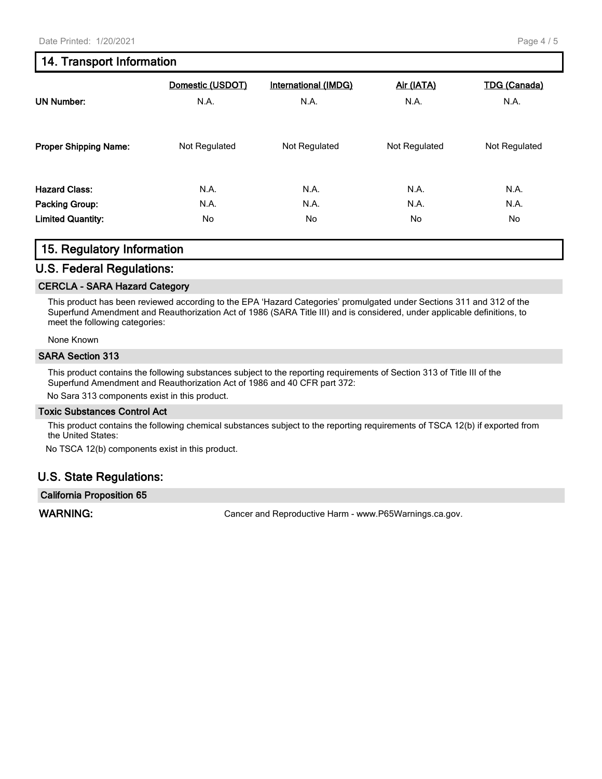## **14. Transport Information**

| <b>UN Number:</b>            | Domestic (USDOT)<br>N.A. | <b>International (IMDG)</b><br>N.A. | Air (IATA)<br>N.A. | <b>TDG (Canada)</b><br>N.A. |
|------------------------------|--------------------------|-------------------------------------|--------------------|-----------------------------|
| <b>Proper Shipping Name:</b> | Not Regulated            | Not Regulated                       | Not Regulated      | Not Regulated               |
| <b>Hazard Class:</b>         | N.A.                     | N.A.                                | N.A.               | N.A.                        |
| Packing Group:               | N.A.                     | N.A.                                | N.A.               | N.A.                        |
| <b>Limited Quantity:</b>     | No                       | No                                  | No                 | No                          |

## **15. Regulatory Information**

#### **U.S. Federal Regulations:**

#### **CERCLA - SARA Hazard Category**

This product has been reviewed according to the EPA 'Hazard Categories' promulgated under Sections 311 and 312 of the Superfund Amendment and Reauthorization Act of 1986 (SARA Title III) and is considered, under applicable definitions, to meet the following categories:

None Known

#### **SARA Section 313**

This product contains the following substances subject to the reporting requirements of Section 313 of Title III of the Superfund Amendment and Reauthorization Act of 1986 and 40 CFR part 372:

No Sara 313 components exist in this product.

#### **Toxic Substances Control Act**

This product contains the following chemical substances subject to the reporting requirements of TSCA 12(b) if exported from the United States:

No TSCA 12(b) components exist in this product.

## **U.S. State Regulations:**

**California Proposition 65**

WARNING: **WARNING:** Cancer and Reproductive Harm - www.P65Warnings.ca.gov.